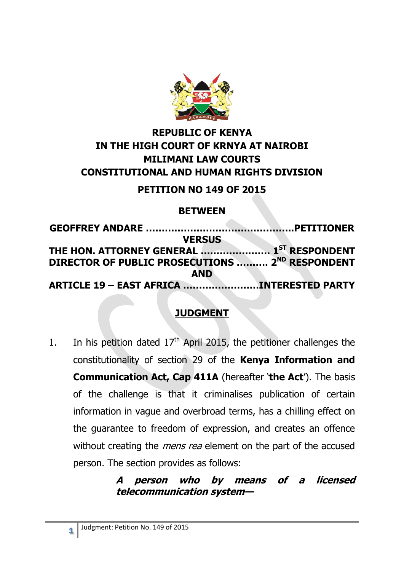

# **REPUBLIC OF KENYA IN THE HIGH COURT OF KRNYA AT NAIROBI MILIMANI LAW COURTS CONSTITUTIONAL AND HUMAN RIGHTS DIVISION**

### **PETITION NO 149 OF 2015**

### **BETWEEN**

| <b>VERSUS</b>                                         |  |
|-------------------------------------------------------|--|
| THE HON. ATTORNEY GENERAL  1 <sup>ST</sup> RESPONDENT |  |
| DIRECTOR OF PUBLIC PROSECUTIONS  2ND RESPONDENT       |  |
| <b>AND</b>                                            |  |
| ARTICLE 19 - EAST AFRICA INTERESTED PARTY             |  |

# **JUDGMENT**

1. In his petition dated  $17<sup>th</sup>$  April 2015, the petitioner challenges the constitutionality of section 29 of the **Kenya Information and Communication Act, Cap 411A** (hereafter '**the Act**'). The basis of the challenge is that it criminalises publication of certain information in vague and overbroad terms, has a chilling effect on the guarantee to freedom of expression, and creates an offence without creating the *mens rea* element on the part of the accused person. The section provides as follows:

### **A person who by means of a licensed telecommunication system—**

**1**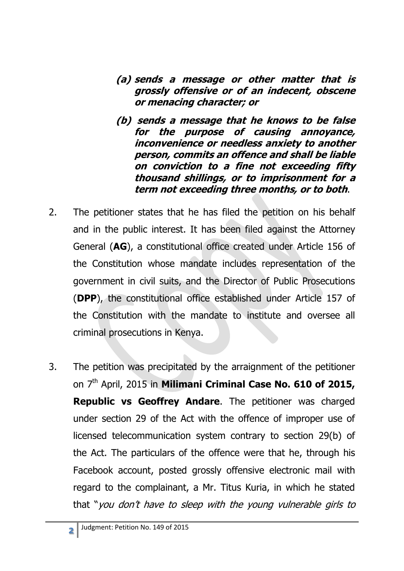- **(a) sends a message or other matter that is grossly offensive or of an indecent, obscene or menacing character; or**
- **(b) sends a message that he knows to be false for the purpose of causing annoyance, inconvenience or needless anxiety to another person, commits an offence and shall be liable on conviction to a fine not exceeding fifty thousand shillings, or to imprisonment for a term not exceeding three months, or to both**.
- 2. The petitioner states that he has filed the petition on his behalf and in the public interest. It has been filed against the Attorney General (**AG**), a constitutional office created under Article 156 of the Constitution whose mandate includes representation of the government in civil suits, and the Director of Public Prosecutions (**DPP**), the constitutional office established under Article 157 of the Constitution with the mandate to institute and oversee all criminal prosecutions in Kenya.
- 3. The petition was precipitated by the arraignment of the petitioner on 7<sup>th</sup> April, 2015 in **Milimani Criminal Case No. 610 of 2015, Republic vs Geoffrey Andare**. The petitioner was charged under section 29 of the Act with the offence of improper use of licensed telecommunication system contrary to section 29(b) of the Act. The particulars of the offence were that he, through his Facebook account, posted grossly offensive electronic mail with regard to the complainant, a Mr. Titus Kuria, in which he stated that "you don't have to sleep with the young vulnerable girls to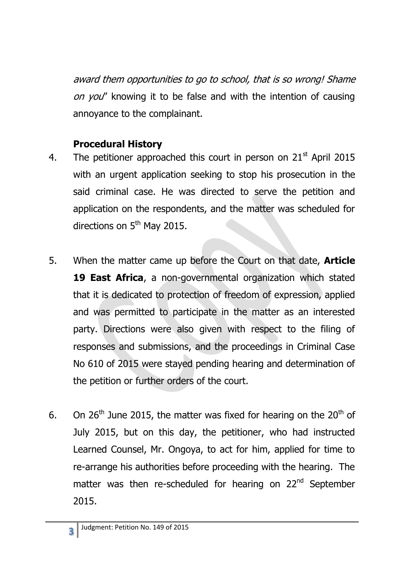award them opportunities to go to school, that is so wrong! Shame on you" knowing it to be false and with the intention of causing annoyance to the complainant.

### **Procedural History**

- 4. The petitioner approached this court in person on  $21<sup>st</sup>$  April 2015 with an urgent application seeking to stop his prosecution in the said criminal case. He was directed to serve the petition and application on the respondents, and the matter was scheduled for directions on  $5<sup>th</sup>$  May 2015.
- 5. When the matter came up before the Court on that date, **Article 19 East Africa**, a non-governmental organization which stated that it is dedicated to protection of freedom of expression, applied and was permitted to participate in the matter as an interested party. Directions were also given with respect to the filing of responses and submissions, and the proceedings in Criminal Case No 610 of 2015 were stayed pending hearing and determination of the petition or further orders of the court.
- 6. On 26<sup>th</sup> June 2015, the matter was fixed for hearing on the 20<sup>th</sup> of July 2015, but on this day, the petitioner, who had instructed Learned Counsel, Mr. Ongoya, to act for him, applied for time to re-arrange his authorities before proceeding with the hearing. The matter was then re-scheduled for hearing on 22<sup>nd</sup> September 2015.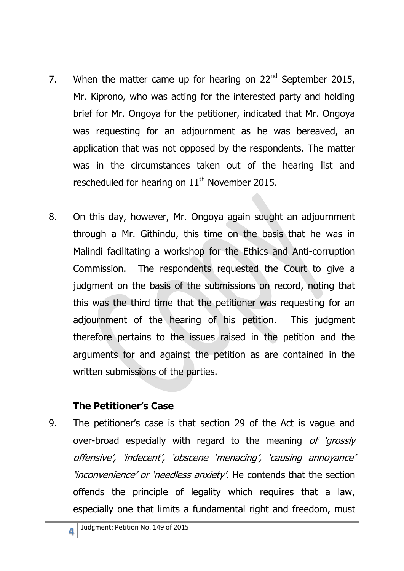- 7. When the matter came up for hearing on  $22<sup>nd</sup>$  September 2015, Mr. Kiprono, who was acting for the interested party and holding brief for Mr. Ongoya for the petitioner, indicated that Mr. Ongoya was requesting for an adjournment as he was bereaved, an application that was not opposed by the respondents. The matter was in the circumstances taken out of the hearing list and rescheduled for hearing on 11<sup>th</sup> November 2015.
- 8. On this day, however, Mr. Ongoya again sought an adjournment through a Mr. Githindu, this time on the basis that he was in Malindi facilitating a workshop for the Ethics and Anti-corruption Commission. The respondents requested the Court to give a judgment on the basis of the submissions on record, noting that this was the third time that the petitioner was requesting for an adjournment of the hearing of his petition. This judgment therefore pertains to the issues raised in the petition and the arguments for and against the petition as are contained in the written submissions of the parties.

### **The Petitioner's Case**

9. The petitioner's case is that section 29 of the Act is vague and over-broad especially with regard to the meaning of 'grossly' offensive', 'indecent', 'obscene 'menacing', 'causing annoyance' 'inconvenience' or 'needless anxiety'. He contends that the section offends the principle of legality which requires that a law, especially one that limits a fundamental right and freedom, must

**4**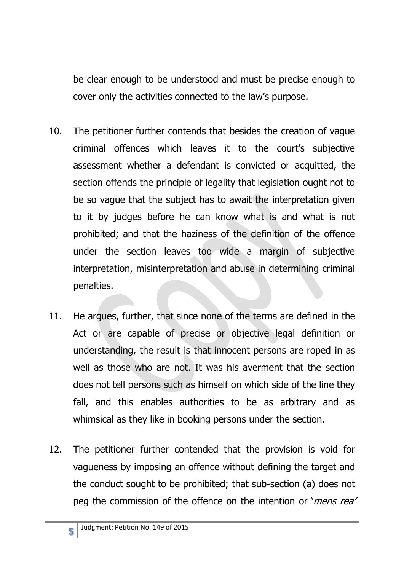be clear enough to be understood and must be precise enough to cover only the activities connected to the law's purpose.

- 10. The petitioner further contends that besides the creation of vague criminal offences which leaves it to the court's subjective assessment whether a defendant is convicted or acquitted, the section offends the principle of legality that legislation ought not to be so vague that the subject has to await the interpretation given to it by judges before he can know what is and what is not prohibited; and that the haziness of the definition of the offence under the section leaves too wide a margin of subjective interpretation, misinterpretation and abuse in determining criminal penalties.
- 11. He argues, further, that since none of the terms are defined in the Act or are capable of precise or objective legal definition or understanding, the result is that innocent persons are roped in as well as those who are not. It was his averment that the section does not tell persons such as himself on which side of the line they fall, and this enables authorities to be as arbitrary and as whimsical as they like in booking persons under the section.
- 12. The petitioner further contended that the provision is void for vagueness by imposing an offence without defining the target and the conduct sought to be prohibited; that sub-section (a) does not peg the commission of the offence on the intention or '*mens rea'*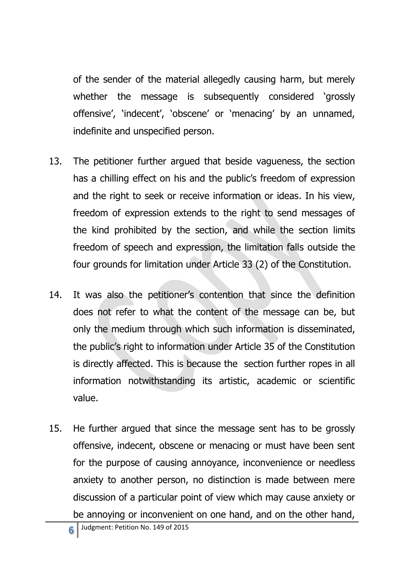of the sender of the material allegedly causing harm, but merely whether the message is subsequently considered 'grossly offensive', 'indecent', 'obscene' or 'menacing' by an unnamed, indefinite and unspecified person.

- 13. The petitioner further argued that beside vagueness, the section has a chilling effect on his and the public's freedom of expression and the right to seek or receive information or ideas. In his view, freedom of expression extends to the right to send messages of the kind prohibited by the section, and while the section limits freedom of speech and expression, the limitation falls outside the four grounds for limitation under Article 33 (2) of the Constitution.
- 14. It was also the petitioner's contention that since the definition does not refer to what the content of the message can be, but only the medium through which such information is disseminated, the public's right to information under Article 35 of the Constitution is directly affected. This is because the section further ropes in all information notwithstanding its artistic, academic or scientific value.
- 15. He further argued that since the message sent has to be grossly offensive, indecent, obscene or menacing or must have been sent for the purpose of causing annoyance, inconvenience or needless anxiety to another person, no distinction is made between mere discussion of a particular point of view which may cause anxiety or be annoying or inconvenient on one hand, and on the other hand,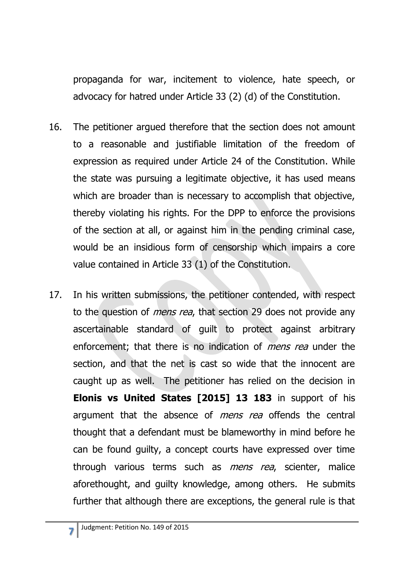propaganda for war, incitement to violence, hate speech, or advocacy for hatred under Article 33 (2) (d) of the Constitution.

- 16. The petitioner argued therefore that the section does not amount to a reasonable and justifiable limitation of the freedom of expression as required under Article 24 of the Constitution. While the state was pursuing a legitimate objective, it has used means which are broader than is necessary to accomplish that objective, thereby violating his rights. For the DPP to enforce the provisions of the section at all, or against him in the pending criminal case, would be an insidious form of censorship which impairs a core value contained in Article 33 (1) of the Constitution.
- 17. In his written submissions, the petitioner contended, with respect to the question of *mens rea*, that section 29 does not provide any ascertainable standard of guilt to protect against arbitrary enforcement; that there is no indication of *mens rea* under the section, and that the net is cast so wide that the innocent are caught up as well. The petitioner has relied on the decision in **Elonis vs United States [2015] 13 183** in support of his argument that the absence of *mens rea* offends the central thought that a defendant must be blameworthy in mind before he can be found guilty, a concept courts have expressed over time through various terms such as *mens rea*, scienter, malice aforethought, and guilty knowledge, among others. He submits further that although there are exceptions, the general rule is that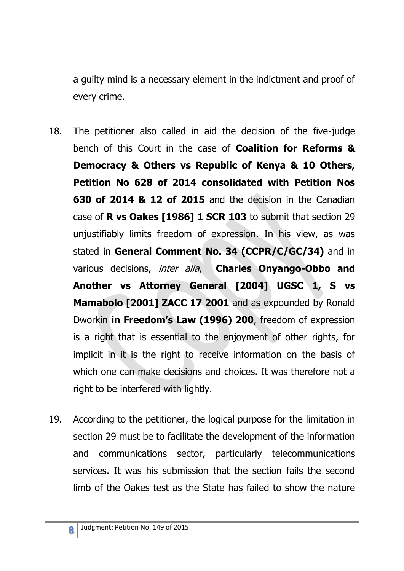a guilty mind is a necessary element in the indictment and proof of every crime.

- 18. The petitioner also called in aid the decision of the five-judge bench of this Court in the case of **Coalition for Reforms & Democracy & Others vs Republic of Kenya & 10 Others, Petition No 628 of 2014 consolidated with Petition Nos 630 of 2014 & 12 of 2015** and the decision in the Canadian case of **R vs Oakes [1986] 1 SCR 103** to submit that section 29 unjustifiably limits freedom of expression. In his view, as was stated in **General Comment No. 34 (CCPR/C/GC/34)** and in various decisions, inter alia, **Charles Onyango-Obbo and Another vs Attorney General [2004] UGSC 1, S vs Mamabolo [2001] ZACC 17 2001** and as expounded by Ronald Dworkin **in Freedom's Law (1996) 200**, freedom of expression is a right that is essential to the enjoyment of other rights, for implicit in it is the right to receive information on the basis of which one can make decisions and choices. It was therefore not a right to be interfered with lightly.
- 19. According to the petitioner, the logical purpose for the limitation in section 29 must be to facilitate the development of the information and communications sector, particularly telecommunications services. It was his submission that the section fails the second limb of the Oakes test as the State has failed to show the nature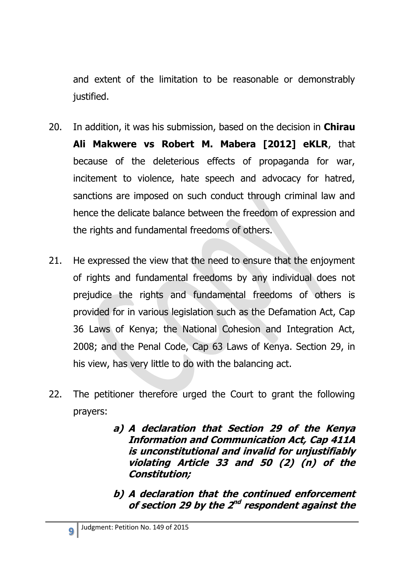and extent of the limitation to be reasonable or demonstrably justified.

- 20. In addition, it was his submission, based on the decision in **Chirau Ali Makwere vs Robert M. Mabera [2012] eKLR**, that because of the deleterious effects of propaganda for war, incitement to violence, hate speech and advocacy for hatred, sanctions are imposed on such conduct through criminal law and hence the delicate balance between the freedom of expression and the rights and fundamental freedoms of others.
- 21. He expressed the view that the need to ensure that the enjoyment of rights and fundamental freedoms by any individual does not prejudice the rights and fundamental freedoms of others is provided for in various legislation such as the Defamation Act, Cap 36 Laws of Kenya; the National Cohesion and Integration Act, 2008; and the Penal Code, Cap 63 Laws of Kenya. Section 29, in his view, has very little to do with the balancing act.
- 22. The petitioner therefore urged the Court to grant the following prayers:
	- **a) A declaration that Section 29 of the Kenya Information and Communication Act, Cap 411A is unconstitutional and invalid for unjustifiably violating Article 33 and 50 (2) (n) of the Constitution;**
	- **b) A declaration that the continued enforcement**  of section 29 by the 2<sup>nd</sup> respondent against the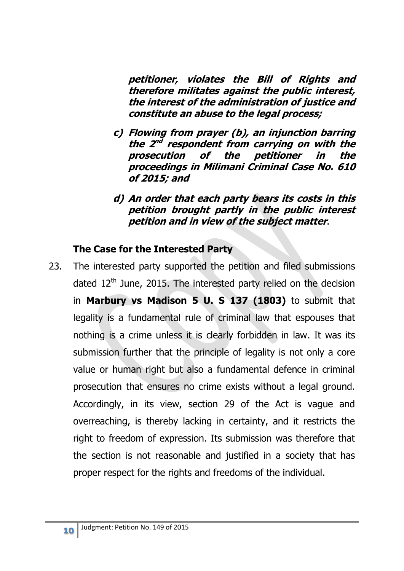**petitioner, violates the Bill of Rights and therefore militates against the public interest, the interest of the administration of justice and constitute an abuse to the legal process;**

- **c) Flowing from prayer (b), an injunction barring**  the 2<sup>nd</sup> respondent from carrying on with the **prosecution of the petitioner in the proceedings in Milimani Criminal Case No. 610 of 2015; and**
- **d) An order that each party bears its costs in this petition brought partly in the public interest petition and in view of the subject matter**.

### **The Case for the Interested Party**

23. The interested party supported the petition and filed submissions dated  $12^{th}$  June, 2015. The interested party relied on the decision in **Marbury vs Madison 5 U. S 137 (1803)** to submit that legality is a fundamental rule of criminal law that espouses that nothing is a crime unless it is clearly forbidden in law. It was its submission further that the principle of legality is not only a core value or human right but also a fundamental defence in criminal prosecution that ensures no crime exists without a legal ground. Accordingly, in its view, section 29 of the Act is vague and overreaching, is thereby lacking in certainty, and it restricts the right to freedom of expression. Its submission was therefore that the section is not reasonable and justified in a society that has proper respect for the rights and freedoms of the individual.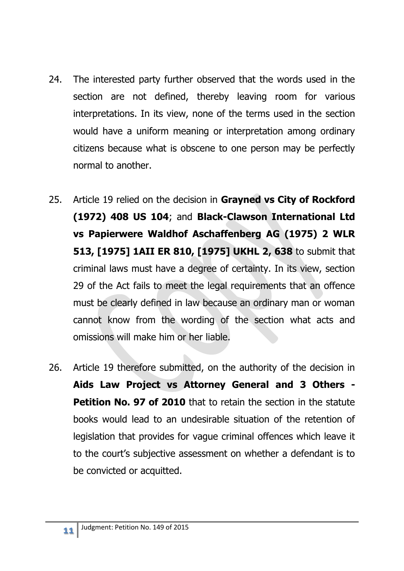- 24. The interested party further observed that the words used in the section are not defined, thereby leaving room for various interpretations. In its view, none of the terms used in the section would have a uniform meaning or interpretation among ordinary citizens because what is obscene to one person may be perfectly normal to another.
- 25. Article 19 relied on the decision in **Grayned vs City of Rockford (1972) 408 US 104**; and **Black-Clawson International Ltd vs Papierwere Waldhof Aschaffenberg AG (1975) 2 WLR 513, [1975] 1AII ER 810, [1975] UKHL 2, 638** to submit that criminal laws must have a degree of certainty. In its view, section 29 of the Act fails to meet the legal requirements that an offence must be clearly defined in law because an ordinary man or woman cannot know from the wording of the section what acts and omissions will make him or her liable.
- 26. Article 19 therefore submitted, on the authority of the decision in **Aids Law Project vs Attorney General and 3 Others - Petition No. 97 of 2010** that to retain the section in the statute books would lead to an undesirable situation of the retention of legislation that provides for vague criminal offences which leave it to the court's subjective assessment on whether a defendant is to be convicted or acquitted.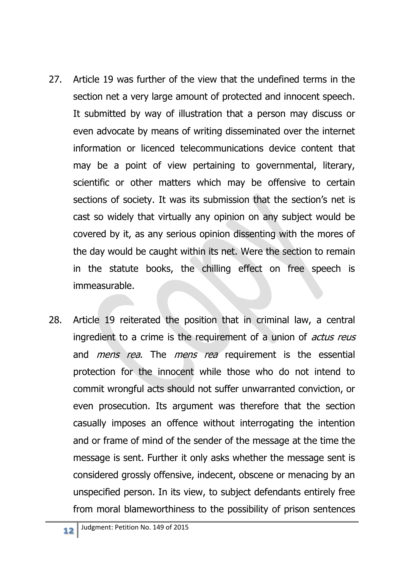- 27. Article 19 was further of the view that the undefined terms in the section net a very large amount of protected and innocent speech. It submitted by way of illustration that a person may discuss or even advocate by means of writing disseminated over the internet information or licenced telecommunications device content that may be a point of view pertaining to governmental, literary, scientific or other matters which may be offensive to certain sections of society. It was its submission that the section's net is cast so widely that virtually any opinion on any subject would be covered by it, as any serious opinion dissenting with the mores of the day would be caught within its net. Were the section to remain in the statute books, the chilling effect on free speech is immeasurable.
- 28. Article 19 reiterated the position that in criminal law, a central ingredient to a crime is the requirement of a union of *actus reus* and *mens rea*. The *mens rea* requirement is the essential protection for the innocent while those who do not intend to commit wrongful acts should not suffer unwarranted conviction, or even prosecution. Its argument was therefore that the section casually imposes an offence without interrogating the intention and or frame of mind of the sender of the message at the time the message is sent. Further it only asks whether the message sent is considered grossly offensive, indecent, obscene or menacing by an unspecified person. In its view, to subject defendants entirely free from moral blameworthiness to the possibility of prison sentences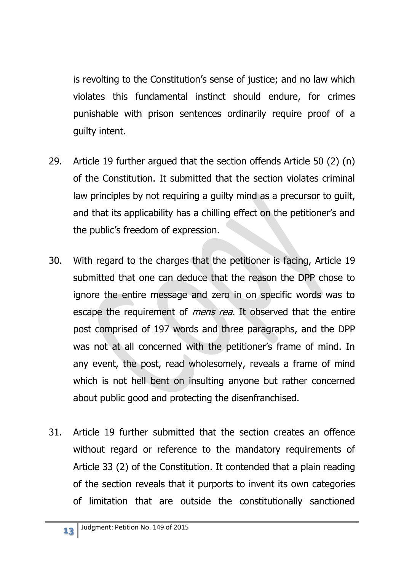is revolting to the Constitution's sense of justice; and no law which violates this fundamental instinct should endure, for crimes punishable with prison sentences ordinarily require proof of a guilty intent.

- 29. Article 19 further argued that the section offends Article 50 (2) (n) of the Constitution. It submitted that the section violates criminal law principles by not requiring a guilty mind as a precursor to guilt, and that its applicability has a chilling effect on the petitioner's and the public's freedom of expression.
- 30. With regard to the charges that the petitioner is facing, Article 19 submitted that one can deduce that the reason the DPP chose to ignore the entire message and zero in on specific words was to escape the requirement of *mens rea*. It observed that the entire post comprised of 197 words and three paragraphs, and the DPP was not at all concerned with the petitioner's frame of mind. In any event, the post, read wholesomely, reveals a frame of mind which is not hell bent on insulting anyone but rather concerned about public good and protecting the disenfranchised.
- 31. Article 19 further submitted that the section creates an offence without regard or reference to the mandatory requirements of Article 33 (2) of the Constitution. It contended that a plain reading of the section reveals that it purports to invent its own categories of limitation that are outside the constitutionally sanctioned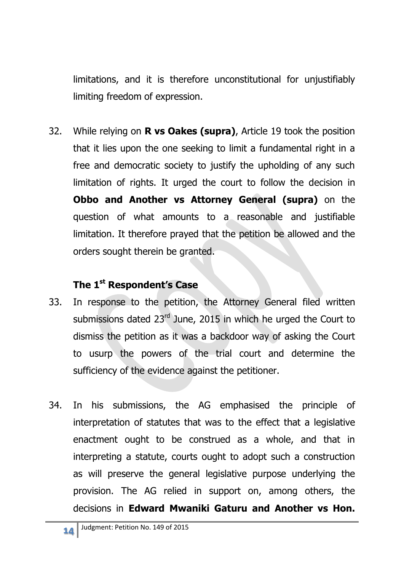limitations, and it is therefore unconstitutional for unjustifiably limiting freedom of expression.

32. While relying on **R vs Oakes (supra)**, Article 19 took the position that it lies upon the one seeking to limit a fundamental right in a free and democratic society to justify the upholding of any such limitation of rights. It urged the court to follow the decision in **Obbo and Another vs Attorney General (supra)** on the question of what amounts to a reasonable and justifiable limitation. It therefore prayed that the petition be allowed and the orders sought therein be granted.

### **The 1st Respondent's Case**

- 33. In response to the petition, the Attorney General filed written submissions dated 23<sup>rd</sup> June, 2015 in which he urged the Court to dismiss the petition as it was a backdoor way of asking the Court to usurp the powers of the trial court and determine the sufficiency of the evidence against the petitioner.
- 34. In his submissions, the AG emphasised the principle of interpretation of statutes that was to the effect that a legislative enactment ought to be construed as a whole, and that in interpreting a statute, courts ought to adopt such a construction as will preserve the general legislative purpose underlying the provision. The AG relied in support on, among others, the decisions in **Edward Mwaniki Gaturu and Another vs Hon.**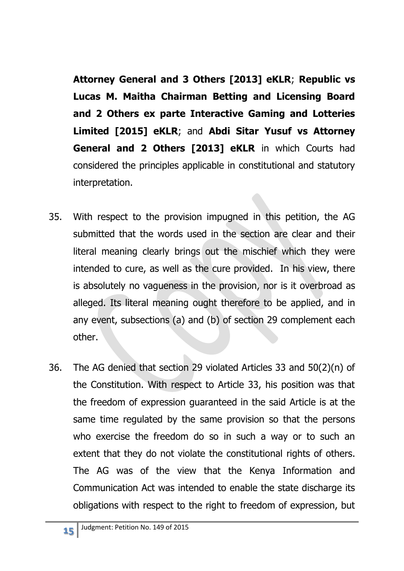**Attorney General and 3 Others [2013] eKLR**; **Republic vs Lucas M. Maitha Chairman Betting and Licensing Board and 2 Others ex parte Interactive Gaming and Lotteries Limited [2015] eKLR**; and **Abdi Sitar Yusuf vs Attorney General and 2 Others [2013] eKLR** in which Courts had considered the principles applicable in constitutional and statutory interpretation.

- 35. With respect to the provision impugned in this petition, the AG submitted that the words used in the section are clear and their literal meaning clearly brings out the mischief which they were intended to cure, as well as the cure provided. In his view, there is absolutely no vagueness in the provision, nor is it overbroad as alleged. Its literal meaning ought therefore to be applied, and in any event, subsections (a) and (b) of section 29 complement each other.
- 36. The AG denied that section 29 violated Articles 33 and 50(2)(n) of the Constitution. With respect to Article 33, his position was that the freedom of expression guaranteed in the said Article is at the same time regulated by the same provision so that the persons who exercise the freedom do so in such a way or to such an extent that they do not violate the constitutional rights of others. The AG was of the view that the Kenya Information and Communication Act was intended to enable the state discharge its obligations with respect to the right to freedom of expression, but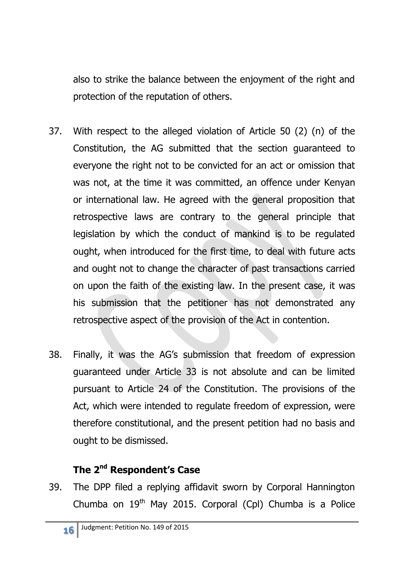also to strike the balance between the enjoyment of the right and protection of the reputation of others.

- 37. With respect to the alleged violation of Article 50 (2) (n) of the Constitution, the AG submitted that the section guaranteed to everyone the right not to be convicted for an act or omission that was not, at the time it was committed, an offence under Kenyan or international law. He agreed with the general proposition that retrospective laws are contrary to the general principle that legislation by which the conduct of mankind is to be regulated ought, when introduced for the first time, to deal with future acts and ought not to change the character of past transactions carried on upon the faith of the existing law. In the present case, it was his submission that the petitioner has not demonstrated any retrospective aspect of the provision of the Act in contention.
- 38. Finally, it was the AG's submission that freedom of expression guaranteed under Article 33 is not absolute and can be limited pursuant to Article 24 of the Constitution. The provisions of the Act, which were intended to regulate freedom of expression, were therefore constitutional, and the present petition had no basis and ought to be dismissed.

# **The 2nd Respondent's Case**

39. The DPP filed a replying affidavit sworn by Corporal Hannington Chumba on  $19<sup>th</sup>$  May 2015. Corporal (Cpl) Chumba is a Police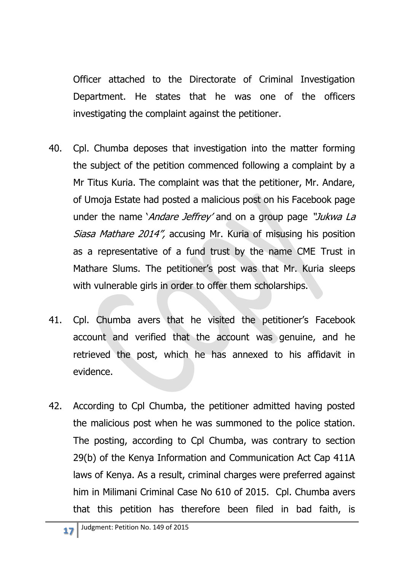Officer attached to the Directorate of Criminal Investigation Department. He states that he was one of the officers investigating the complaint against the petitioner.

- 40. Cpl. Chumba deposes that investigation into the matter forming the subject of the petition commenced following a complaint by a Mr Titus Kuria. The complaint was that the petitioner, Mr. Andare, of Umoja Estate had posted a malicious post on his Facebook page under the name *Andare Jeffrey'* and on a group page "Jukwa La Siasa Mathare 2014", accusing Mr. Kuria of misusing his position as a representative of a fund trust by the name CME Trust in Mathare Slums. The petitioner's post was that Mr. Kuria sleeps with vulnerable girls in order to offer them scholarships.
- 41. Cpl. Chumba avers that he visited the petitioner's Facebook account and verified that the account was genuine, and he retrieved the post, which he has annexed to his affidavit in evidence.
- 42. According to Cpl Chumba, the petitioner admitted having posted the malicious post when he was summoned to the police station. The posting, according to Cpl Chumba, was contrary to section 29(b) of the Kenya Information and Communication Act Cap 411A laws of Kenya. As a result, criminal charges were preferred against him in Milimani Criminal Case No 610 of 2015. Cpl. Chumba avers that this petition has therefore been filed in bad faith, is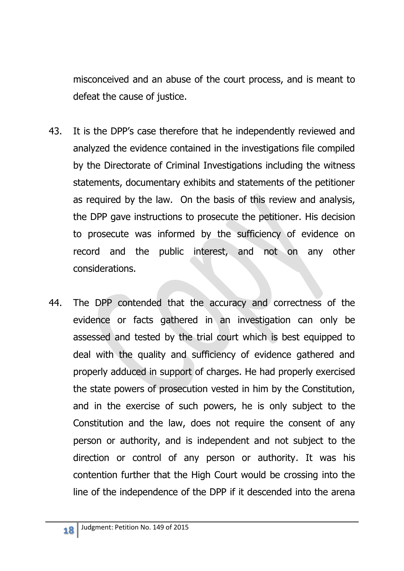misconceived and an abuse of the court process, and is meant to defeat the cause of justice.

- 43. It is the DPP's case therefore that he independently reviewed and analyzed the evidence contained in the investigations file compiled by the Directorate of Criminal Investigations including the witness statements, documentary exhibits and statements of the petitioner as required by the law. On the basis of this review and analysis, the DPP gave instructions to prosecute the petitioner. His decision to prosecute was informed by the sufficiency of evidence on record and the public interest, and not on any other considerations.
- 44. The DPP contended that the accuracy and correctness of the evidence or facts gathered in an investigation can only be assessed and tested by the trial court which is best equipped to deal with the quality and sufficiency of evidence gathered and properly adduced in support of charges. He had properly exercised the state powers of prosecution vested in him by the Constitution, and in the exercise of such powers, he is only subject to the Constitution and the law, does not require the consent of any person or authority, and is independent and not subject to the direction or control of any person or authority. It was his contention further that the High Court would be crossing into the line of the independence of the DPP if it descended into the arena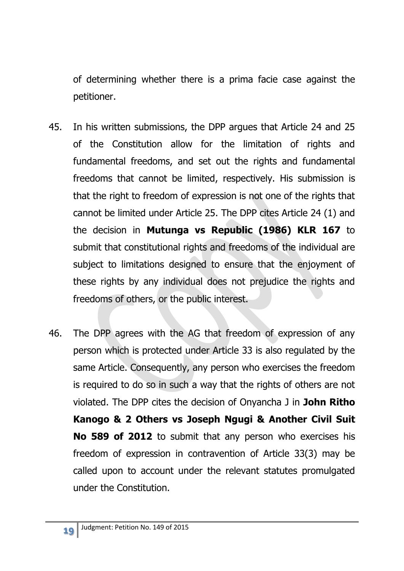of determining whether there is a prima facie case against the petitioner.

- 45. In his written submissions, the DPP argues that Article 24 and 25 of the Constitution allow for the limitation of rights and fundamental freedoms, and set out the rights and fundamental freedoms that cannot be limited, respectively. His submission is that the right to freedom of expression is not one of the rights that cannot be limited under Article 25. The DPP cites Article 24 (1) and the decision in **Mutunga vs Republic (1986) KLR 167** to submit that constitutional rights and freedoms of the individual are subject to limitations designed to ensure that the enjoyment of these rights by any individual does not prejudice the rights and freedoms of others, or the public interest.
- 46. The DPP agrees with the AG that freedom of expression of any person which is protected under Article 33 is also regulated by the same Article. Consequently, any person who exercises the freedom is required to do so in such a way that the rights of others are not violated. The DPP cites the decision of Onyancha J in **John Ritho Kanogo & 2 Others vs Joseph Ngugi & Another Civil Suit No 589 of 2012** to submit that any person who exercises his freedom of expression in contravention of Article 33(3) may be called upon to account under the relevant statutes promulgated under the Constitution.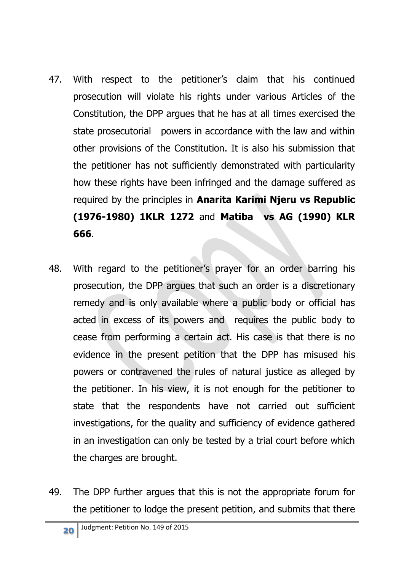- 47. With respect to the petitioner's claim that his continued prosecution will violate his rights under various Articles of the Constitution, the DPP argues that he has at all times exercised the state prosecutorial powers in accordance with the law and within other provisions of the Constitution. It is also his submission that the petitioner has not sufficiently demonstrated with particularity how these rights have been infringed and the damage suffered as required by the principles in **Anarita Karimi Njeru vs Republic (1976-1980) 1KLR 1272** and **Matiba vs AG (1990) KLR 666**.
- 48. With regard to the petitioner's prayer for an order barring his prosecution, the DPP argues that such an order is a discretionary remedy and is only available where a public body or official has acted in excess of its powers and requires the public body to cease from performing a certain act. His case is that there is no evidence in the present petition that the DPP has misused his powers or contravened the rules of natural justice as alleged by the petitioner. In his view, it is not enough for the petitioner to state that the respondents have not carried out sufficient investigations, for the quality and sufficiency of evidence gathered in an investigation can only be tested by a trial court before which the charges are brought.
- 49. The DPP further argues that this is not the appropriate forum for the petitioner to lodge the present petition, and submits that there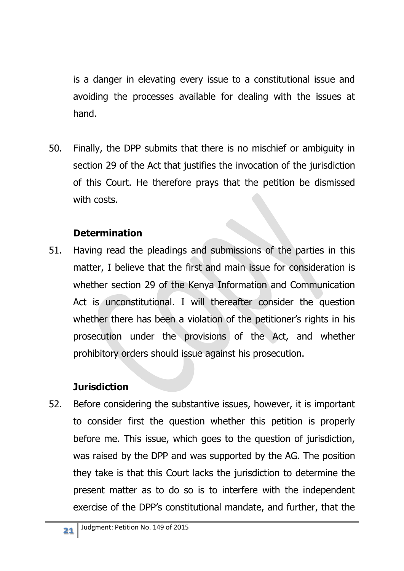is a danger in elevating every issue to a constitutional issue and avoiding the processes available for dealing with the issues at hand.

50. Finally, the DPP submits that there is no mischief or ambiguity in section 29 of the Act that justifies the invocation of the jurisdiction of this Court. He therefore prays that the petition be dismissed with costs.

### **Determination**

51. Having read the pleadings and submissions of the parties in this matter, I believe that the first and main issue for consideration is whether section 29 of the Kenya Information and Communication Act is unconstitutional. I will thereafter consider the question whether there has been a violation of the petitioner's rights in his prosecution under the provisions of the Act, and whether prohibitory orders should issue against his prosecution.

# **Jurisdiction**

52. Before considering the substantive issues, however, it is important to consider first the question whether this petition is properly before me. This issue, which goes to the question of jurisdiction, was raised by the DPP and was supported by the AG. The position they take is that this Court lacks the jurisdiction to determine the present matter as to do so is to interfere with the independent exercise of the DPP's constitutional mandate, and further, that the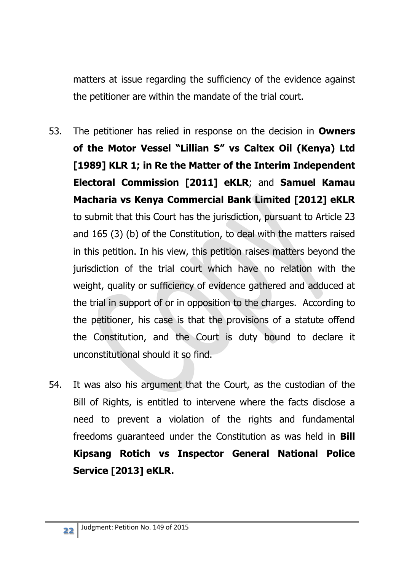matters at issue regarding the sufficiency of the evidence against the petitioner are within the mandate of the trial court.

- 53. The petitioner has relied in response on the decision in **Owners of the Motor Vessel "Lillian S" vs Caltex Oil (Kenya) Ltd [1989] KLR 1; in Re the Matter of the Interim Independent Electoral Commission [2011] eKLR**; and **Samuel Kamau Macharia vs Kenya Commercial Bank Limited [2012] eKLR** to submit that this Court has the jurisdiction, pursuant to Article 23 and 165 (3) (b) of the Constitution, to deal with the matters raised in this petition. In his view, this petition raises matters beyond the jurisdiction of the trial court which have no relation with the weight, quality or sufficiency of evidence gathered and adduced at the trial in support of or in opposition to the charges. According to the petitioner, his case is that the provisions of a statute offend the Constitution, and the Court is duty bound to declare it unconstitutional should it so find.
- 54. It was also his argument that the Court, as the custodian of the Bill of Rights, is entitled to intervene where the facts disclose a need to prevent a violation of the rights and fundamental freedoms guaranteed under the Constitution as was held in **Bill Kipsang Rotich vs Inspector General National Police Service [2013] eKLR.**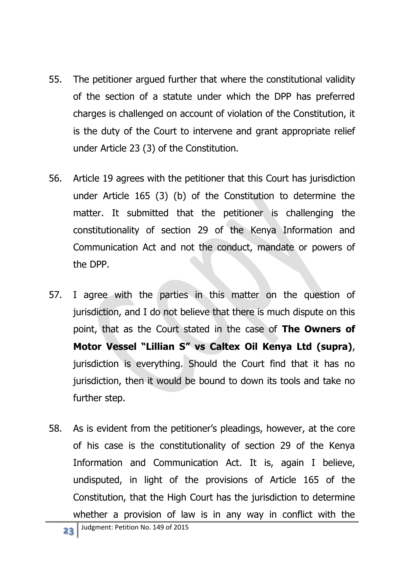- 55. The petitioner argued further that where the constitutional validity of the section of a statute under which the DPP has preferred charges is challenged on account of violation of the Constitution, it is the duty of the Court to intervene and grant appropriate relief under Article 23 (3) of the Constitution.
- 56. Article 19 agrees with the petitioner that this Court has jurisdiction under Article 165 (3) (b) of the Constitution to determine the matter. It submitted that the petitioner is challenging the constitutionality of section 29 of the Kenya Information and Communication Act and not the conduct, mandate or powers of the DPP.
- 57. I agree with the parties in this matter on the question of jurisdiction, and I do not believe that there is much dispute on this point, that as the Court stated in the case of **The Owners of Motor Vessel "Lillian S" vs Caltex Oil Kenya Ltd (supra)**, jurisdiction is everything. Should the Court find that it has no jurisdiction, then it would be bound to down its tools and take no further step.
- 58. As is evident from the petitioner's pleadings, however, at the core of his case is the constitutionality of section 29 of the Kenya Information and Communication Act. It is, again I believe, undisputed, in light of the provisions of Article 165 of the Constitution, that the High Court has the jurisdiction to determine whether a provision of law is in any way in conflict with the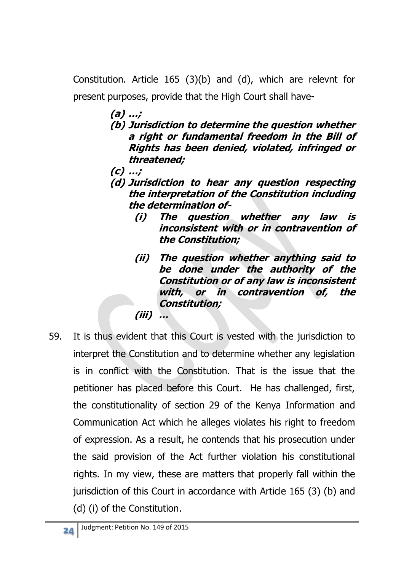Constitution. Article 165 (3)(b) and (d), which are relevnt for present purposes, provide that the High Court shall have-

- **(a) …; (b) Jurisdiction to determine the question whether a right or fundamental freedom in the Bill of Rights has been denied, violated, infringed or threatened;**
- **(c) …;**
- **(d) Jurisdiction to hear any question respecting the interpretation of the Constitution including the determination of-**
	- **(i) The question whether any law is inconsistent with or in contravention of the Constitution;**
	- **(ii) The question whether anything said to be done under the authority of the Constitution or of any law is inconsistent with, or in contravention of, the Constitution; (iii) …**
- 59. It is thus evident that this Court is vested with the jurisdiction to interpret the Constitution and to determine whether any legislation is in conflict with the Constitution. That is the issue that the petitioner has placed before this Court. He has challenged, first, the constitutionality of section 29 of the Kenya Information and Communication Act which he alleges violates his right to freedom of expression. As a result, he contends that his prosecution under the said provision of the Act further violation his constitutional rights. In my view, these are matters that properly fall within the jurisdiction of this Court in accordance with Article 165 (3) (b) and (d) (i) of the Constitution.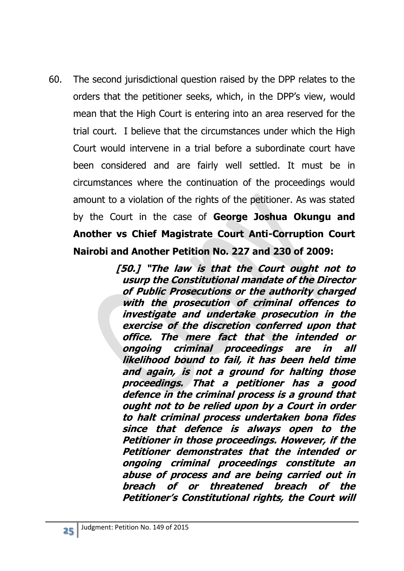60. The second jurisdictional question raised by the DPP relates to the orders that the petitioner seeks, which, in the DPP's view, would mean that the High Court is entering into an area reserved for the trial court. I believe that the circumstances under which the High Court would intervene in a trial before a subordinate court have been considered and are fairly well settled. It must be in circumstances where the continuation of the proceedings would amount to a violation of the rights of the petitioner. As was stated by the Court in the case of **George Joshua Okungu and Another vs Chief Magistrate Court Anti-Corruption Court Nairobi and Another Petition No. 227 and 230 of 2009:**

> **[50.] "The law is that the Court ought not to usurp the Constitutional mandate of the Director of Public Prosecutions or the authority charged with the prosecution of criminal offences to investigate and undertake prosecution in the exercise of the discretion conferred upon that office. The mere fact that the intended or ongoing criminal proceedings are in all likelihood bound to fail, it has been held time and again, is not a ground for halting those proceedings. That a petitioner has a good defence in the criminal process is a ground that ought not to be relied upon by a Court in order to halt criminal process undertaken bona fides since that defence is always open to the Petitioner in those proceedings. However, if the Petitioner demonstrates that the intended or ongoing criminal proceedings constitute an abuse of process and are being carried out in breach of or threatened breach of the Petitioner's Constitutional rights, the Court will**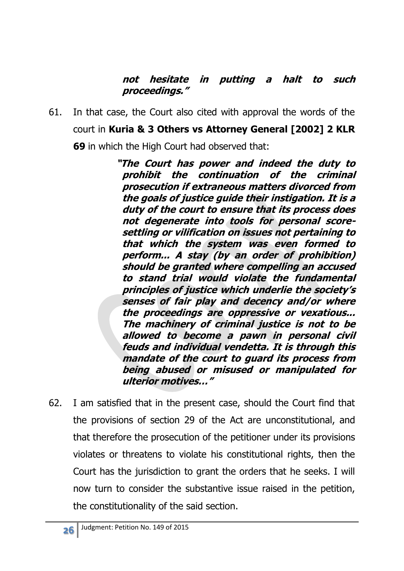### **not hesitate in putting a halt to such proceedings."**

61. In that case, the Court also cited with approval the words of the court in **Kuria & 3 Others vs Attorney General [2002] 2 KLR 69** in which the High Court had observed that:

> **"The Court has power and indeed the duty to prohibit the continuation of the criminal prosecution if extraneous matters divorced from the goals of justice guide their instigation. It is a duty of the court to ensure that its process does not degenerate into tools for personal scoresettling or vilification on issues not pertaining to that which the system was even formed to perform... A stay (by an order of prohibition) should be granted where compelling an accused to stand trial would violate the fundamental principles of justice which underlie the society'<sup>s</sup> senses of fair play and decency and/or where the proceedings are oppressive or vexatious... The machinery of criminal justice is not to be allowed to become a pawn in personal civil feuds and individual vendetta. It is through this mandate of the court to guard its process from being abused or misused or manipulated for ulterior motives…"**

62. I am satisfied that in the present case, should the Court find that the provisions of section 29 of the Act are unconstitutional, and that therefore the prosecution of the petitioner under its provisions violates or threatens to violate his constitutional rights, then the Court has the jurisdiction to grant the orders that he seeks. I will now turn to consider the substantive issue raised in the petition, the constitutionality of the said section.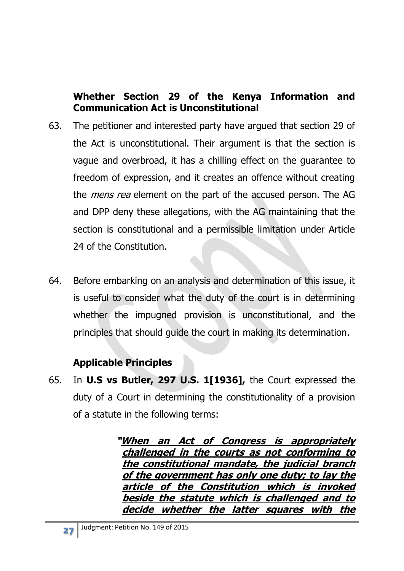### **Whether Section 29 of the Kenya Information and Communication Act is Unconstitutional**

- 63. The petitioner and interested party have argued that section 29 of the Act is unconstitutional. Their argument is that the section is vague and overbroad, it has a chilling effect on the guarantee to freedom of expression, and it creates an offence without creating the *mens rea* element on the part of the accused person. The AG and DPP deny these allegations, with the AG maintaining that the section is constitutional and a permissible limitation under Article 24 of the Constitution.
- 64. Before embarking on an analysis and determination of this issue, it is useful to consider what the duty of the court is in determining whether the impugned provision is unconstitutional, and the principles that should guide the court in making its determination.

# **Applicable Principles**

65. In **U.S vs Butler, 297 U.S. 1[1936],** the Court expressed the duty of a Court in determining the constitutionality of a provision of a statute in the following terms:

> **"When an Act of Congress is appropriately challenged in the courts as not conforming to the constitutional mandate, the judicial branch of the government has only one duty; to lay the article of the Constitution which is invoked beside the statute which is challenged and to decide whether the latter squares with the**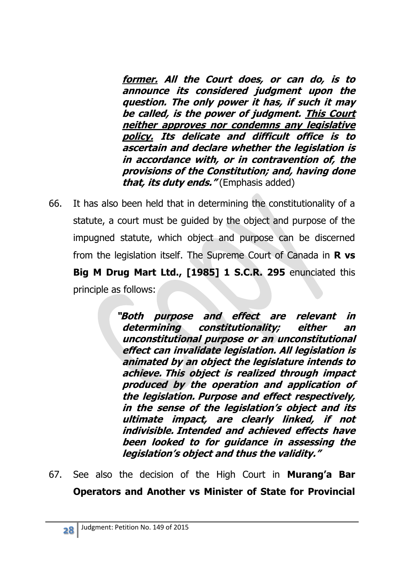**former. All the Court does, or can do, is to announce its considered judgment upon the question. The only power it has, if such it may be called, is the power of judgment. This Court neither approves nor condemns any legislative policy. Its delicate and difficult office is to ascertain and declare whether the legislation is in accordance with, or in contravention of, the provisions of the Constitution; and, having done that, its duty ends."** (Emphasis added)

66. It has also been held that in determining the constitutionality of a statute, a court must be guided by the object and purpose of the impugned statute, which object and purpose can be discerned from the legislation itself. The Supreme Court of Canada in **R vs Big M Drug Mart Ltd., [1985] 1 S.C.R. 295** enunciated this principle as follows:

> **"Both purpose and effect are relevant in determining constitutionality; either an unconstitutional purpose or an unconstitutional effect can invalidate legislation. All legislation is animated by an object the legislature intends to achieve. This object is realized through impact produced by the operation and application of the legislation. Purpose and effect respectively, in the sense of the legislation's object and its ultimate impact, are clearly linked, if not indivisible. Intended and achieved effects have been looked to for guidance in assessing the legislation's object and thus the validity."**

67. See also the decision of the High Court in **Murang'a Bar Operators and Another vs Minister of State for Provincial**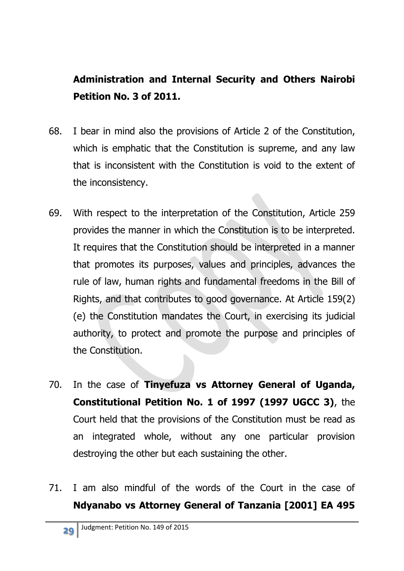# **Administration and Internal Security and Others Nairobi Petition No. 3 of 2011.**

- 68. I bear in mind also the provisions of Article 2 of the Constitution, which is emphatic that the Constitution is supreme, and any law that is inconsistent with the Constitution is void to the extent of the inconsistency.
- 69. With respect to the interpretation of the Constitution, Article 259 provides the manner in which the Constitution is to be interpreted. It requires that the Constitution should be interpreted in a manner that promotes its purposes, values and principles, advances the rule of law, human rights and fundamental freedoms in the Bill of Rights, and that contributes to good governance. At Article 159(2) (e) the Constitution mandates the Court, in exercising its judicial authority, to protect and promote the purpose and principles of the Constitution.
- 70. In the case of **Tinyefuza vs Attorney General of Uganda, Constitutional Petition No. 1 of 1997 (1997 UGCC 3)**, the Court held that the provisions of the Constitution must be read as an integrated whole, without any one particular provision destroying the other but each sustaining the other.
- 71. I am also mindful of the words of the Court in the case of **Ndyanabo vs Attorney General of Tanzania [2001] EA 495**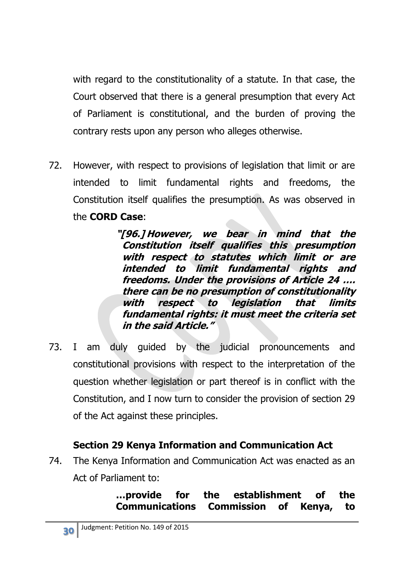with regard to the constitutionality of a statute. In that case, the Court observed that there is a general presumption that every Act of Parliament is constitutional, and the burden of proving the contrary rests upon any person who alleges otherwise.

72. However, with respect to provisions of legislation that limit or are intended to limit fundamental rights and freedoms, the Constitution itself qualifies the presumption. As was observed in the **CORD Case**:

> **"[96.] However, we bear in mind that the Constitution itself qualifies this presumption with respect to statutes which limit or are intended to limit fundamental rights and freedoms. Under the provisions of Article 24 …. there can be no presumption of constitutionality with respect to legislation that limits fundamental rights: it must meet the criteria set in the said Article."**

73. I am duly guided by the judicial pronouncements and constitutional provisions with respect to the interpretation of the question whether legislation or part thereof is in conflict with the Constitution, and I now turn to consider the provision of section 29 of the Act against these principles.

### **Section 29 Kenya Information and Communication Act**

74. The Kenya Information and Communication Act was enacted as an Act of Parliament to:

### **…provide for the establishment of the Communications Commission of Kenya, to**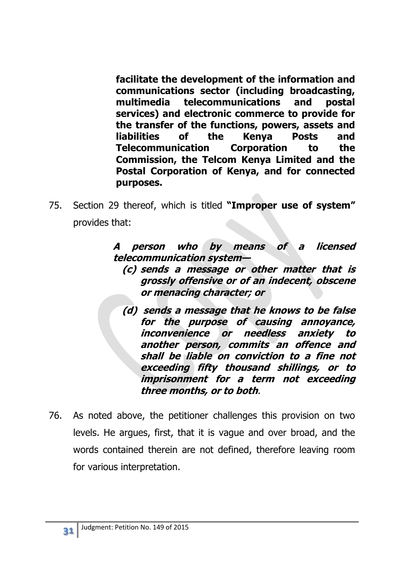**facilitate the development of the information and communications sector (including broadcasting, multimedia telecommunications and postal services) and electronic commerce to provide for the transfer of the functions, powers, assets and liabilities of the Kenya Posts and Telecommunication Corporation to the Commission, the Telcom Kenya Limited and the Postal Corporation of Kenya, and for connected purposes.**

75. Section 29 thereof, which is titled **"Improper use of system"**  provides that:

> **A person who by means of a licensed telecommunication system—**

- **(c) sends a message or other matter that is grossly offensive or of an indecent, obscene or menacing character; or**
- **(d) sends a message that he knows to be false for the purpose of causing annoyance, inconvenience or needless anxiety to another person, commits an offence and shall be liable on conviction to a fine not exceeding fifty thousand shillings, or to imprisonment for a term not exceeding three months, or to both**.
- 76. As noted above, the petitioner challenges this provision on two levels. He argues, first, that it is vague and over broad, and the words contained therein are not defined, therefore leaving room for various interpretation.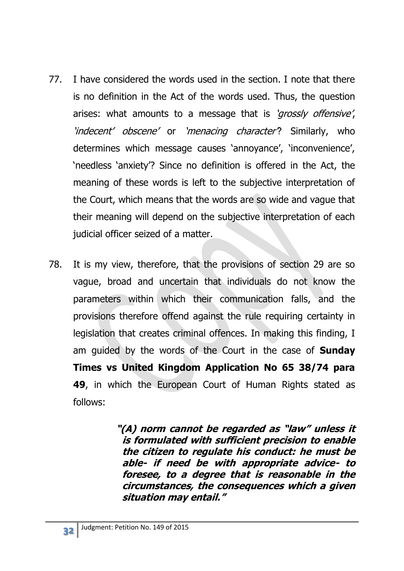- 77. I have considered the words used in the section. I note that there is no definition in the Act of the words used. Thus, the question arises: what amounts to a message that is 'grossly offensive', 'indecent' obscene' or 'menacing character? Similarly, who determines which message causes 'annoyance', 'inconvenience', 'needless 'anxiety'? Since no definition is offered in the Act, the meaning of these words is left to the subjective interpretation of the Court, which means that the words are so wide and vague that their meaning will depend on the subjective interpretation of each judicial officer seized of a matter.
- 78. It is my view, therefore, that the provisions of section 29 are so vague, broad and uncertain that individuals do not know the parameters within which their communication falls, and the provisions therefore offend against the rule requiring certainty in legislation that creates criminal offences. In making this finding, I am guided by the words of the Court in the case of **Sunday Times vs United Kingdom Application No 65 38/74 para 49**, in which the European Court of Human Rights stated as follows:

**"(A) norm cannot be regarded as "law" unless it is formulated with sufficient precision to enable the citizen to regulate his conduct: he must be able- if need be with appropriate advice- to foresee, to a degree that is reasonable in the circumstances, the consequences which a given situation may entail."**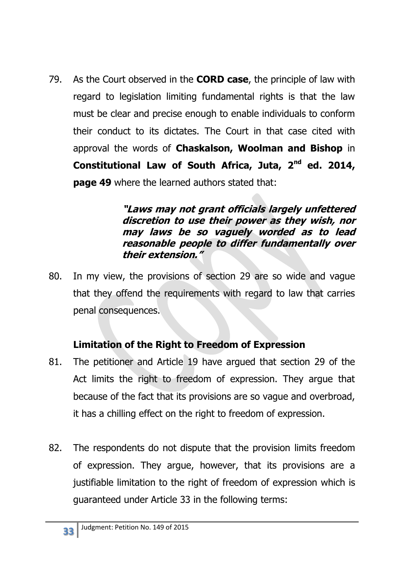79. As the Court observed in the **CORD case**, the principle of law with regard to legislation limiting fundamental rights is that the law must be clear and precise enough to enable individuals to conform their conduct to its dictates. The Court in that case cited with approval the words of **Chaskalson, Woolman and Bishop** in **Constitutional Law of South Africa, Juta, 2nd ed. 2014, page 49** where the learned authors stated that:

> **"Laws may not grant officials largely unfettered discretion to use their power as they wish, nor may laws be so vaguely worded as to lead reasonable people to differ fundamentally over their extension."**

80. In my view, the provisions of section 29 are so wide and vague that they offend the requirements with regard to law that carries penal consequences.

# **Limitation of the Right to Freedom of Expression**

- 81. The petitioner and Article 19 have argued that section 29 of the Act limits the right to freedom of expression. They argue that because of the fact that its provisions are so vague and overbroad, it has a chilling effect on the right to freedom of expression.
- 82. The respondents do not dispute that the provision limits freedom of expression. They argue, however, that its provisions are a justifiable limitation to the right of freedom of expression which is guaranteed under Article 33 in the following terms: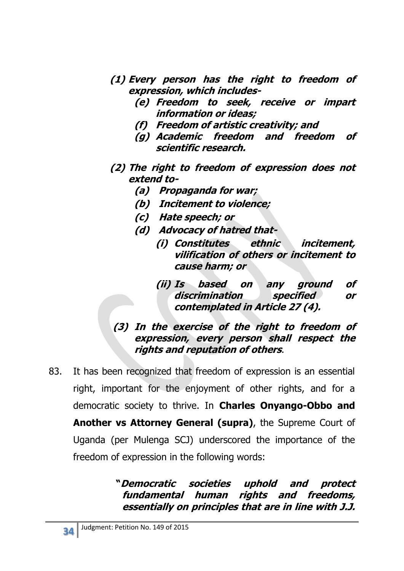- **(1) Every person has the right to freedom of expression, which includes-**
	- **(e) Freedom to seek, receive or impart information or ideas;**
	- **(f) Freedom of artistic creativity; and**
	- **(g) Academic freedom and freedom of scientific research.**
- **(2) The right to freedom of expression does not extend to-**
	- **(a) Propaganda for war;**
	- **(b) Incitement to violence;**
	- **(c) Hate speech; or**
	- **(d) Advocacy of hatred that-**
		- **(i) Constitutes ethnic incitement, vilification of others or incitement to cause harm; or**
		- **(ii) Is based on any ground of discrimination specified or contemplated in Article 27 (4).**
- **(3) In the exercise of the right to freedom of expression, every person shall respect the rights and reputation of others**.
- 83. It has been recognized that freedom of expression is an essential right, important for the enjoyment of other rights, and for a democratic society to thrive. In **Charles Onyango-Obbo and Another vs Attorney General (supra)**, the Supreme Court of Uganda (per Mulenga SCJ) underscored the importance of the freedom of expression in the following words:

**"Democratic societies uphold and protect fundamental human rights and freedoms, essentially on principles that are in line with J.J.**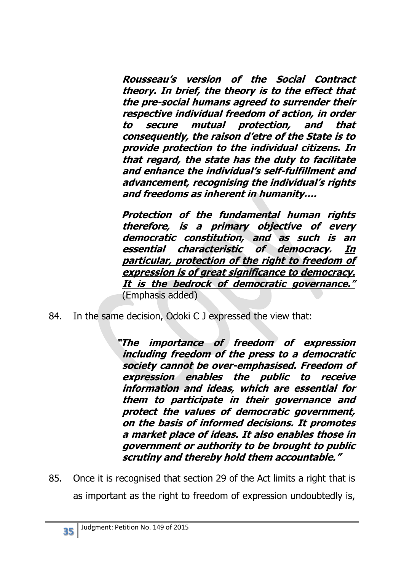**Rousseau's version of the Social Contract theory. In brief, the theory is to the effect that the pre-social humans agreed to surrender their respective individual freedom of action, in order to secure mutual protection, and that consequently, the raison d'etre of the State is to provide protection to the individual citizens. In that regard, the state has the duty to facilitate and enhance the individual's self-fulfillment and advancement, recognising the individual's rights and freedoms as inherent in humanity….**

 **Protection of the fundamental human rights therefore, is a primary objective of every democratic constitution, and as such is an essential characteristic of democracy. In particular, protection of the right to freedom of expression is of great significance to democracy. It is the bedrock of democratic governance."**  (Emphasis added)

84. In the same decision, Odoki C J expressed the view that:

**"The importance of freedom of expression including freedom of the press to a democratic society cannot be over-emphasised. Freedom of expression enables the public to receive information and ideas, which are essential for them to participate in their governance and protect the values of democratic government, on the basis of informed decisions. It promotes a market place of ideas. It also enables those in government or authority to be brought to public scrutiny and thereby hold them accountable."**

85. Once it is recognised that section 29 of the Act limits a right that is as important as the right to freedom of expression undoubtedly is,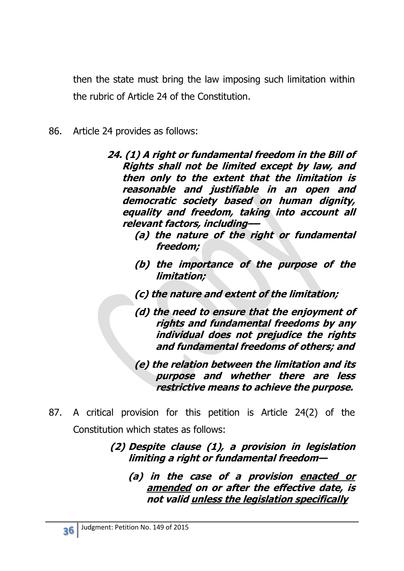then the state must bring the law imposing such limitation within the rubric of Article 24 of the Constitution.

- 86. Article 24 provides as follows:
	- **24. (1) A right or fundamental freedom in the Bill of Rights shall not be limited except by law, and then only to the extent that the limitation is reasonable and justifiable in an open and democratic society based on human dignity, equality and freedom, taking into account all relevant factors, including––**
		- **(a) the nature of the right or fundamental freedom;**
		- **(b) the importance of the purpose of the limitation;**
		- **(c) the nature and extent of the limitation;**
		- **(d) the need to ensure that the enjoyment of rights and fundamental freedoms by any individual does not prejudice the rights and fundamental freedoms of others; and**
		- **(e) the relation between the limitation and its purpose and whether there are less restrictive means to achieve the purpose.**
- 87. A critical provision for this petition is Article 24(2) of the Constitution which states as follows:
	- **(2) Despite clause (1), a provision in legislation limiting a right or fundamental freedom—**
		- **(a) in the case of a provision enacted or amended on or after the effective date, is not valid unless the legislation specifically**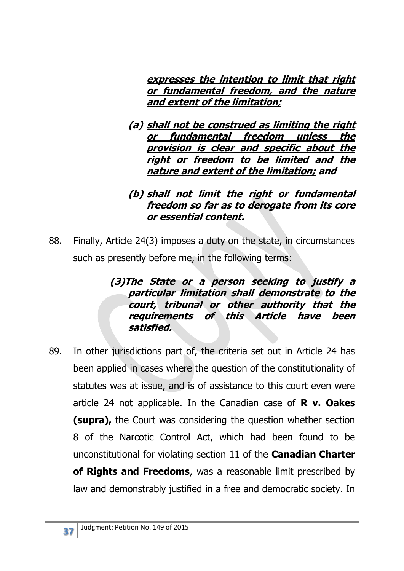**expresses the intention to limit that right or fundamental freedom, and the nature and extent of the limitation;**

**(a) shall not be construed as limiting the right or fundamental freedom unless the provision is clear and specific about the right or freedom to be limited and the nature and extent of the limitation; and**

#### **(b) shall not limit the right or fundamental freedom so far as to derogate from its core or essential content.**

88. Finally, Article 24(3) imposes a duty on the state, in circumstances such as presently before me, in the following terms:

#### **(3)The State or a person seeking to justify a particular limitation shall demonstrate to the court, tribunal or other authority that the requirements of this Article have been satisfied.**

89. In other jurisdictions part of, the criteria set out in Article 24 has been applied in cases where the question of the constitutionality of statutes was at issue, and is of assistance to this court even were article 24 not applicable. In the Canadian case of **R v. Oakes (supra),** the Court was considering the question whether section 8 of the Narcotic Control Act, which had been found to be unconstitutional for violating section 11 of the **Canadian Charter of Rights and Freedoms**, was a reasonable limit prescribed by law and demonstrably justified in a free and democratic society. In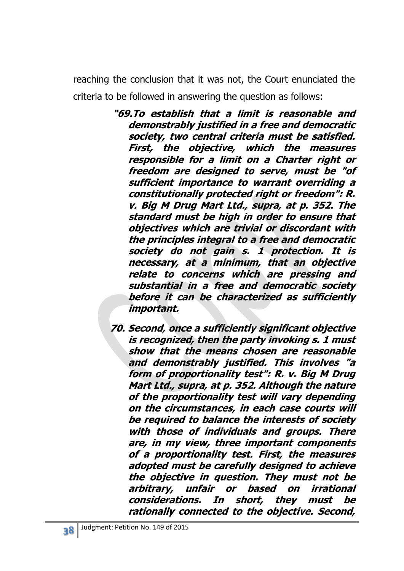reaching the conclusion that it was not, the Court enunciated the criteria to be followed in answering the question as follows:

- **"69.To establish that a limit is reasonable and demonstrably justified in a free and democratic society, two central criteria must be satisfied. First, the objective, which the measures responsible for a limit on a Charter right or freedom are designed to serve, must be "of sufficient importance to warrant overriding a constitutionally protected right or freedom": R. v. Big M Drug Mart Ltd., supra, at p. 352. The standard must be high in order to ensure that objectives which are trivial or discordant with the principles integral to a free and democratic society do not gain s. 1 protection. It is necessary, at a minimum, that an objective relate to concerns which are pressing and substantial in a free and democratic society before it can be characterized as sufficiently important.**
- **70. Second, once a sufficiently significant objective is recognized, then the party invoking s. 1 must show that the means chosen are reasonable and demonstrably justified. This involves "a form of proportionality test": R. v. Big M Drug Mart Ltd., supra, at p. 352. Although the nature of the proportionality test will vary depending on the circumstances, in each case courts will be required to balance the interests of society with those of individuals and groups. There are, in my view, three important components of a proportionality test. First, the measures adopted must be carefully designed to achieve the objective in question. They must not be arbitrary, unfair or based on irrational considerations. In short, they must be rationally connected to the objective. Second,**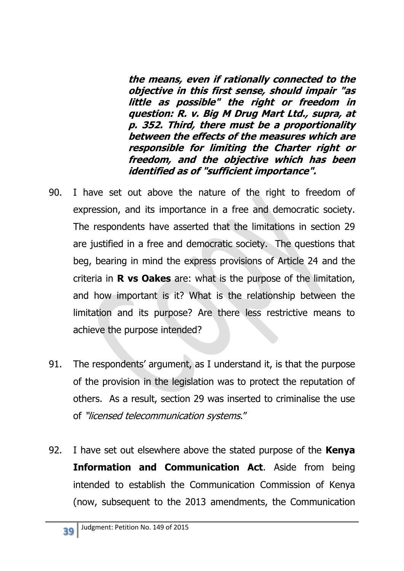**the means, even if rationally connected to the objective in this first sense, should impair "as little as possible" the right or freedom in question: R. v. Big M Drug Mart Ltd., supra, at p. 352. Third, there must be a proportionality between the effects of the measures which are responsible for limiting the Charter right or freedom, and the objective which has been identified as of "sufficient importance".**

- 90. I have set out above the nature of the right to freedom of expression, and its importance in a free and democratic society. The respondents have asserted that the limitations in section 29 are justified in a free and democratic society. The questions that beg, bearing in mind the express provisions of Article 24 and the criteria in **R vs Oakes** are: what is the purpose of the limitation, and how important is it? What is the relationship between the limitation and its purpose? Are there less restrictive means to achieve the purpose intended?
- 91. The respondents' argument, as I understand it, is that the purpose of the provision in the legislation was to protect the reputation of others. As a result, section 29 was inserted to criminalise the use of "licensed telecommunication systems."
- 92. I have set out elsewhere above the stated purpose of the **Kenya Information and Communication Act**. Aside from being intended to establish the Communication Commission of Kenya (now, subsequent to the 2013 amendments, the Communication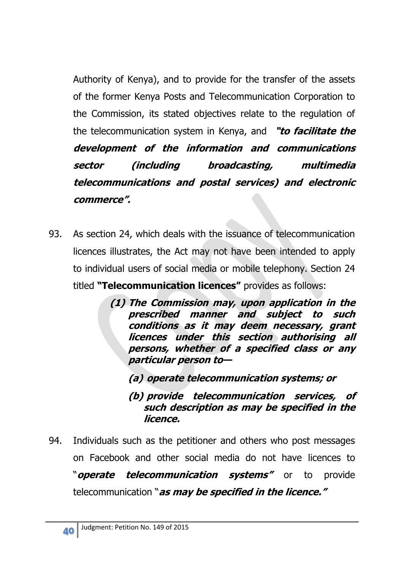Authority of Kenya), and to provide for the transfer of the assets of the former Kenya Posts and Telecommunication Corporation to the Commission, its stated objectives relate to the regulation of the telecommunication system in Kenya, and **"to facilitate the development of the information and communications sector (including broadcasting, multimedia telecommunications and postal services) and electronic commerce".**

- 93. As section 24, which deals with the issuance of telecommunication licences illustrates, the Act may not have been intended to apply to individual users of social media or mobile telephony. Section 24 titled **"Telecommunication licences"** provides as follows:
	- **(1) The Commission may, upon application in the prescribed manner and subject to such conditions as it may deem necessary, grant licences under this section authorising all persons, whether of a specified class or any particular person to—**

**(a) operate telecommunication systems; or**

**(b) provide telecommunication services, of such description as may be specified in the licence.**

94. Individuals such as the petitioner and others who post messages on Facebook and other social media do not have licences to "**operate telecommunication systems"** or to provide telecommunication "**as may be specified in the licence."**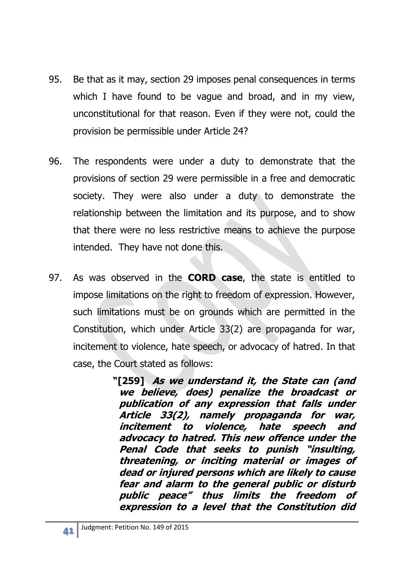- 95. Be that as it may, section 29 imposes penal consequences in terms which I have found to be vague and broad, and in my view, unconstitutional for that reason. Even if they were not, could the provision be permissible under Article 24?
- 96. The respondents were under a duty to demonstrate that the provisions of section 29 were permissible in a free and democratic society. They were also under a duty to demonstrate the relationship between the limitation and its purpose, and to show that there were no less restrictive means to achieve the purpose intended. They have not done this.
- 97. As was observed in the **CORD case**, the state is entitled to impose limitations on the right to freedom of expression. However, such limitations must be on grounds which are permitted in the Constitution, which under Article 33(2) are propaganda for war, incitement to violence, hate speech, or advocacy of hatred. In that case, the Court stated as follows:

**"[259] As we understand it, the State can (and we believe, does) penalize the broadcast or publication of any expression that falls under Article 33(2), namely propaganda for war, incitement to violence, hate speech and advocacy to hatred. This new offence under the Penal Code that seeks to punish "insulting, threatening, or inciting material or images of dead or injured persons which are likely to cause fear and alarm to the general public or disturb public peace" thus limits the freedom of expression to a level that the Constitution did**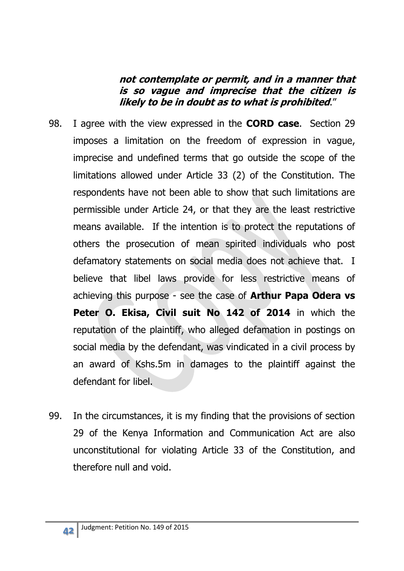#### **not contemplate or permit, and in a manner that is so vague and imprecise that the citizen is likely to be in doubt as to what is prohibited**."

- 98. I agree with the view expressed in the **CORD case**. Section 29 imposes a limitation on the freedom of expression in vague, imprecise and undefined terms that go outside the scope of the limitations allowed under Article 33 (2) of the Constitution. The respondents have not been able to show that such limitations are permissible under Article 24, or that they are the least restrictive means available. If the intention is to protect the reputations of others the prosecution of mean spirited individuals who post defamatory statements on social media does not achieve that. I believe that libel laws provide for less restrictive means of achieving this purpose - see the case of **Arthur Papa Odera vs**  Peter O. Ekisa, Civil suit No 142 of 2014 in which the reputation of the plaintiff, who alleged defamation in postings on social media by the defendant, was vindicated in a civil process by an award of Kshs.5m in damages to the plaintiff against the defendant for libel.
- 99. In the circumstances, it is my finding that the provisions of section 29 of the Kenya Information and Communication Act are also unconstitutional for violating Article 33 of the Constitution, and therefore null and void.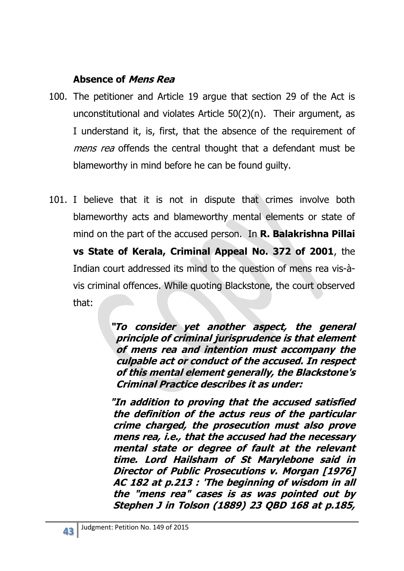### **Absence of Mens Rea**

- 100. The petitioner and Article 19 argue that section 29 of the Act is unconstitutional and violates Article 50(2)(n). Their argument, as I understand it, is, first, that the absence of the requirement of mens rea offends the central thought that a defendant must be blameworthy in mind before he can be found guilty.
- 101. I believe that it is not in dispute that crimes involve both blameworthy acts and blameworthy mental elements or state of mind on the part of the accused person. In **R. Balakrishna Pillai vs State of Kerala, Criminal Appeal No. 372 of 2001**, the Indian court addressed its mind to the question of mens rea vis-àvis criminal offences. While quoting Blackstone, the court observed that:

**"To consider yet another aspect, the general principle of criminal jurisprudence is that element of mens rea and intention must accompany the culpable act or conduct of the accused. In respect of this mental element generally, the Blackstone's Criminal Practice describes it as under:** 

**"In addition to proving that the accused satisfied the definition of the actus reus of the particular crime charged, the prosecution must also prove mens rea, i.e., that the accused had the necessary mental state or degree of fault at the relevant time. Lord Hailsham of St Marylebone said in Director of Public Prosecutions v. Morgan [1976] AC 182 at p.213 : 'The beginning of wisdom in all the "mens rea" cases is as was pointed out by Stephen J in Tolson (1889) 23 QBD 168 at p.185,**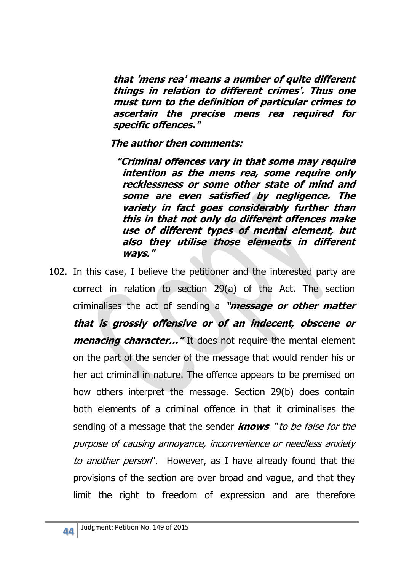**that 'mens rea' means a number of quite different things in relation to different crimes'. Thus one must turn to the definition of particular crimes to ascertain the precise mens rea required for specific offences."** 

#### **The author then comments:**

**"Criminal offences vary in that some may require intention as the mens rea, some require only recklessness or some other state of mind and some are even satisfied by negligence. The variety in fact goes considerably further than this in that not only do different offences make use of different types of mental element, but also they utilise those elements in different ways."** 

102. In this case, I believe the petitioner and the interested party are correct in relation to section 29(a) of the Act. The section criminalises the act of sending a **"message or other matter that is grossly offensive or of an indecent, obscene or menacing character...**" It does not require the mental element on the part of the sender of the message that would render his or her act criminal in nature. The offence appears to be premised on how others interpret the message. Section 29(b) does contain both elements of a criminal offence in that it criminalises the sending of a message that the sender **knows** "to be false for the purpose of causing annoyance, inconvenience or needless anxiety to another person". However, as I have already found that the provisions of the section are over broad and vague, and that they limit the right to freedom of expression and are therefore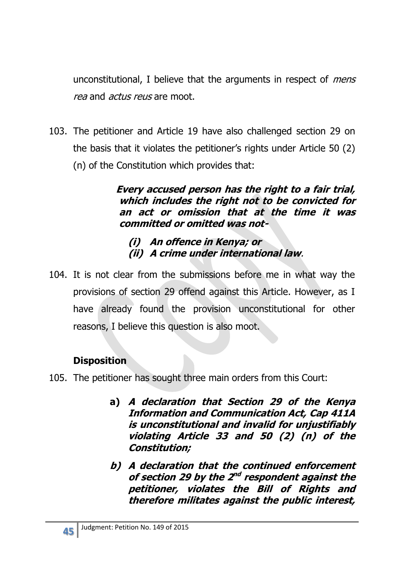unconstitutional, I believe that the arguments in respect of *mens* rea and *actus reus* are moot.

103. The petitioner and Article 19 have also challenged section 29 on the basis that it violates the petitioner's rights under Article 50 (2) (n) of the Constitution which provides that:

> **Every accused person has the right to a fair trial, which includes the right not to be convicted for an act or omission that at the time it was committed or omitted was not-**

### **(i) An offence in Kenya; or (ii) A crime under international law**.

104. It is not clear from the submissions before me in what way the provisions of section 29 offend against this Article. However, as I have already found the provision unconstitutional for other reasons, I believe this question is also moot.

# **Disposition**

- 105. The petitioner has sought three main orders from this Court:
	- **a) A declaration that Section 29 of the Kenya Information and Communication Act, Cap 411A is unconstitutional and invalid for unjustifiably violating Article 33 and 50 (2) (n) of the Constitution;**
	- **b) A declaration that the continued enforcement**  of section 29 by the 2<sup>nd</sup> respondent against the **petitioner, violates the Bill of Rights and therefore militates against the public interest,**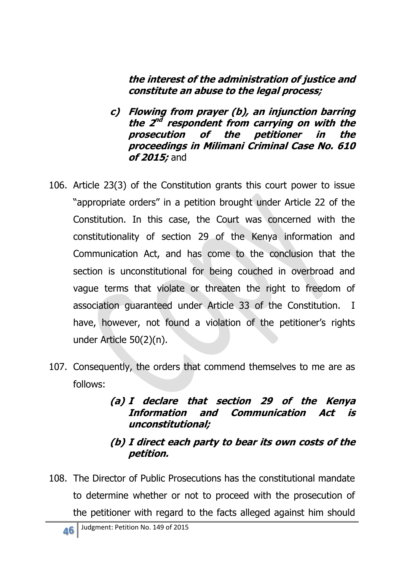#### **the interest of the administration of justice and constitute an abuse to the legal process;**

- **c) Flowing from prayer (b), an injunction barring**  the 2<sup>nd</sup> respondent from carrying on with the **prosecution of the petitioner in the proceedings in Milimani Criminal Case No. 610 of 2015;** and
- 106. Article 23(3) of the Constitution grants this court power to issue "appropriate orders" in a petition brought under Article 22 of the Constitution. In this case, the Court was concerned with the constitutionality of section 29 of the Kenya information and Communication Act, and has come to the conclusion that the section is unconstitutional for being couched in overbroad and vague terms that violate or threaten the right to freedom of association guaranteed under Article 33 of the Constitution. I have, however, not found a violation of the petitioner's rights under Article 50(2)(n).
- 107. Consequently, the orders that commend themselves to me are as follows:

#### **(a) I declare that section 29 of the Kenya Information and Communication Act is unconstitutional;**

### **(b) I direct each party to bear its own costs of the petition.**

108. The Director of Public Prosecutions has the constitutional mandate to determine whether or not to proceed with the prosecution of the petitioner with regard to the facts alleged against him should